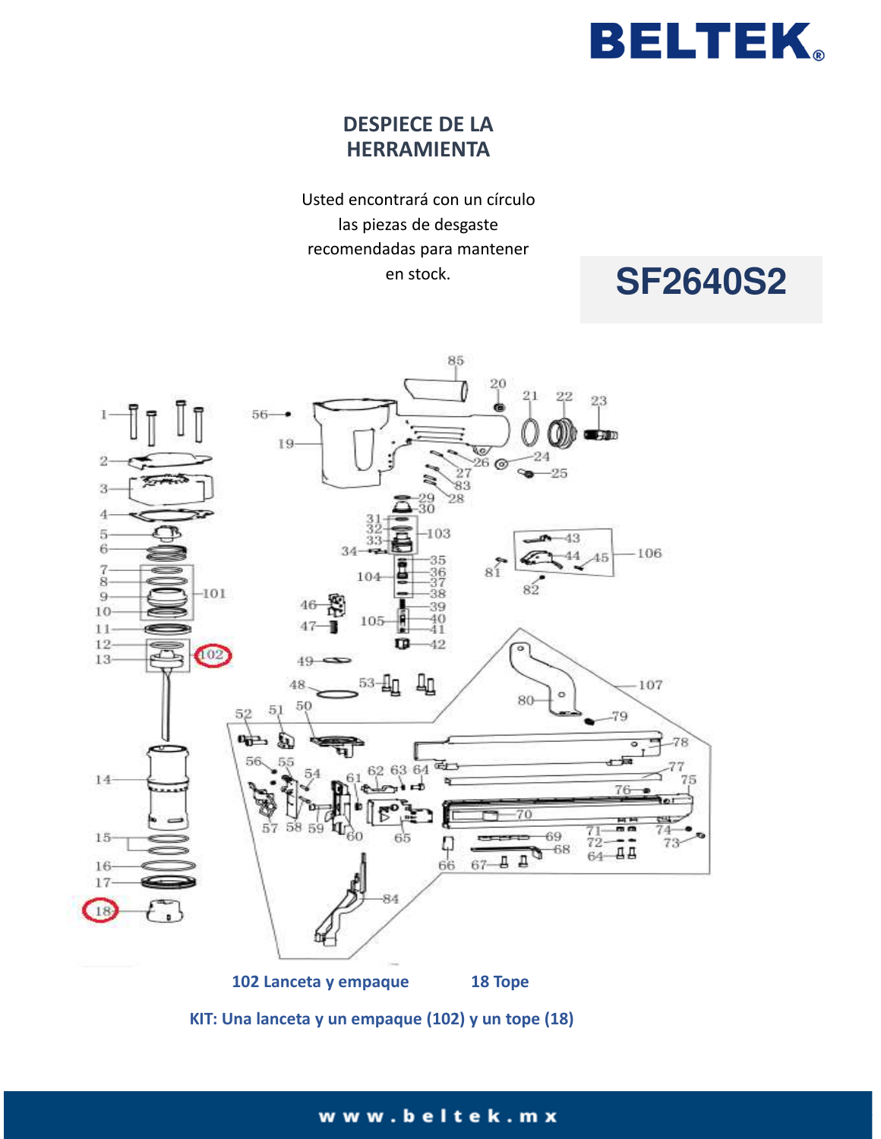

## **DESPIECE DE LA HERRAMIENTA**

Usted encontrará con un círculo las piezas de desgaste recomendadas para mantener en stock.

# **SF2640S2**



**KIT: Una lanceta y un empaque (102) y un tope (18)**

### www.beltek.mx